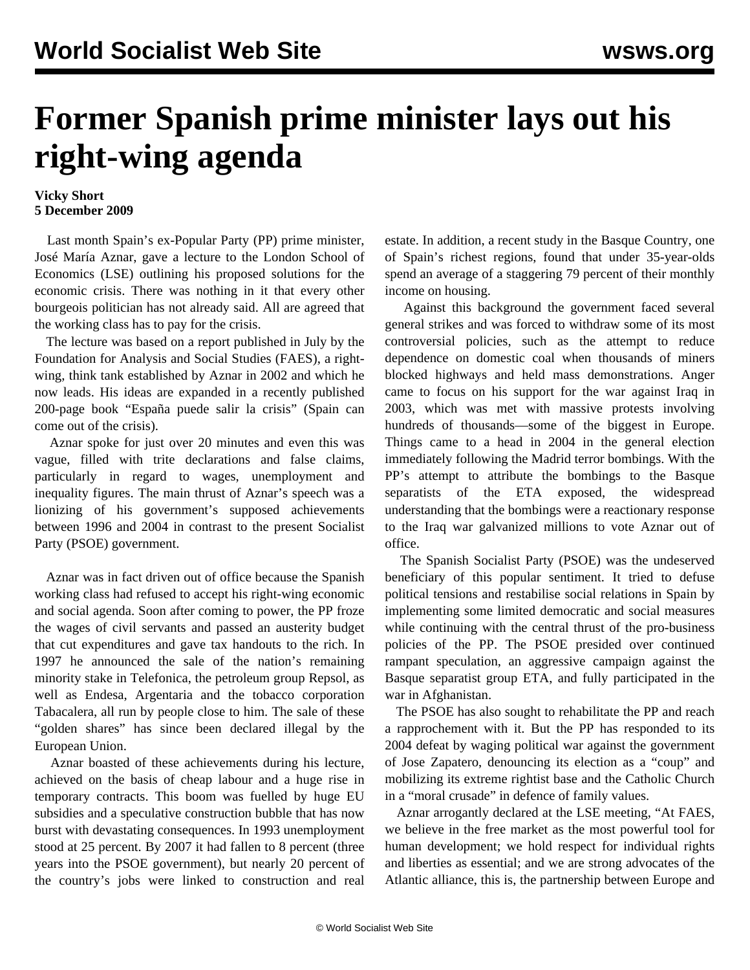## **Former Spanish prime minister lays out his right-wing agenda**

## **Vicky Short 5 December 2009**

 Last month Spain's ex-Popular Party (PP) prime minister, José María Aznar, gave a lecture to the London School of Economics (LSE) outlining his proposed solutions for the economic crisis. There was nothing in it that every other bourgeois politician has not already said. All are agreed that the working class has to pay for the crisis.

 The lecture was based on a report published in July by the Foundation for Analysis and Social Studies (FAES), a rightwing, think tank established by Aznar in 2002 and which he now leads. His ideas are expanded in a recently published 200-page book "España puede salir la crisis" (Spain can come out of the crisis).

 Aznar spoke for just over 20 minutes and even this was vague, filled with trite declarations and false claims, particularly in regard to wages, unemployment and inequality figures. The main thrust of Aznar's speech was a lionizing of his government's supposed achievements between 1996 and 2004 in contrast to the present Socialist Party (PSOE) government.

 Aznar was in fact driven out of office because the Spanish working class had refused to accept his right-wing economic and social agenda. Soon after coming to power, the PP froze the wages of civil servants and passed an austerity budget that cut expenditures and gave tax handouts to the rich. In 1997 he announced the sale of the nation's remaining minority stake in Telefonica, the petroleum group Repsol, as well as Endesa, Argentaria and the tobacco corporation Tabacalera, all run by people close to him. The sale of these "golden shares" has since been declared illegal by the European Union.

 Aznar boasted of these achievements during his lecture, achieved on the basis of cheap labour and a huge rise in temporary contracts. This boom was fuelled by huge EU subsidies and a speculative construction bubble that has now burst with devastating consequences. In 1993 unemployment stood at 25 percent. By 2007 it had fallen to 8 percent (three years into the PSOE government), but nearly 20 percent of the country's jobs were linked to construction and real estate. In addition, a recent study in the Basque Country, one of Spain's richest regions, found that under 35-year-olds spend an average of a staggering 79 percent of their monthly income on housing.

 Against this background the government faced several general strikes and was forced to withdraw some of its most controversial policies, such as the attempt to reduce dependence on domestic coal when thousands of miners blocked highways and held mass demonstrations. Anger came to focus on his support for the war against Iraq in 2003, which was met with massive protests involving hundreds of thousands—some of the biggest in Europe. Things came to a head in 2004 in the general election immediately following the Madrid terror bombings. With the PP's attempt to attribute the bombings to the Basque separatists of the ETA exposed, the widespread understanding that the bombings were a reactionary response to the Iraq war galvanized millions to vote Aznar out of office.

 The Spanish Socialist Party (PSOE) was the undeserved beneficiary of this popular sentiment. It tried to defuse political tensions and restabilise social relations in Spain by implementing some limited democratic and social measures while continuing with the central thrust of the pro-business policies of the PP. The PSOE presided over continued rampant speculation, an aggressive campaign against the Basque separatist group ETA, and fully participated in the war in Afghanistan.

 The PSOE has also sought to rehabilitate the PP and reach a rapprochement with it. But the PP has responded to its 2004 defeat by waging political war against the government of Jose Zapatero, denouncing its election as a "coup" and mobilizing its extreme rightist base and the Catholic Church in a "moral crusade" in defence of family values.

 Aznar arrogantly declared at the LSE meeting, "At FAES, we believe in the free market as the most powerful tool for human development; we hold respect for individual rights and liberties as essential; and we are strong advocates of the Atlantic alliance, this is, the partnership between Europe and